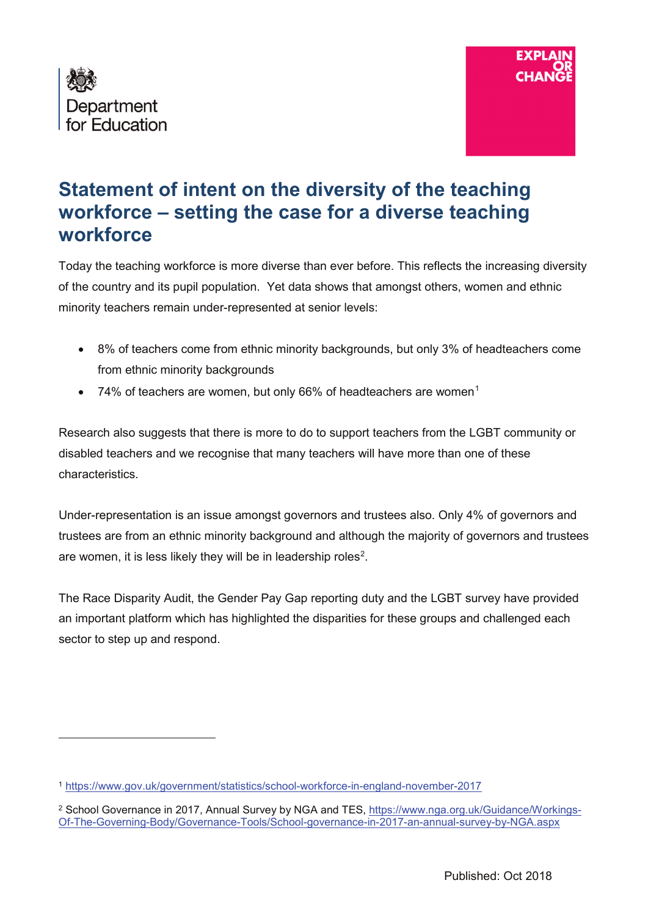

 $\overline{a}$ 



## **Statement of intent on the diversity of the teaching workforce – setting the case for a diverse teaching workforce**

Today the teaching workforce is more diverse than ever before. This reflects the increasing diversity of the country and its pupil population. Yet data shows that amongst others, women and ethnic minority teachers remain under-represented at senior levels:

- 8% of teachers come from ethnic minority backgrounds, but only 3% of headteachers come from ethnic minority backgrounds
- 74% of teachers are women, but only 66% of headteachers are women<sup>[1](#page-0-0)</sup>

Research also suggests that there is more to do to support teachers from the LGBT community or disabled teachers and we recognise that many teachers will have more than one of these characteristics.

Under-representation is an issue amongst governors and trustees also. Only 4% of governors and trustees are from an ethnic minority background and although the majority of governors and trustees are women, it is less likely they will be in leadership roles<sup>[2](#page-0-1)</sup>.

The Race Disparity Audit, the Gender Pay Gap reporting duty and the LGBT survey have provided an important platform which has highlighted the disparities for these groups and challenged each sector to step up and respond.

<span id="page-0-0"></span><sup>1</sup> <https://www.gov.uk/government/statistics/school-workforce-in-england-november-2017>

<span id="page-0-1"></span><sup>&</sup>lt;sup>2</sup> School Governance in 2017, Annual Survey by NGA and TES, [https://www.nga.org.uk/Guidance/Workings-](https://www.nga.org.uk/Guidance/Workings-Of-The-Governing-Body/Governance-Tools/School-governance-in-2017-an-annual-survey-by-NGA.aspx)[Of-The-Governing-Body/Governance-Tools/School-governance-in-2017-an-annual-survey-by-NGA.aspx](https://www.nga.org.uk/Guidance/Workings-Of-The-Governing-Body/Governance-Tools/School-governance-in-2017-an-annual-survey-by-NGA.aspx)